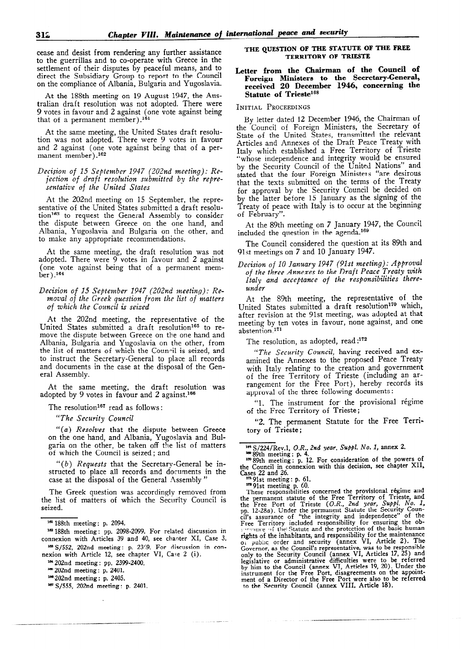cease and desist from rendering any further assistance to the guerrillas and to co-operate with Greece in the settlement of their disputes by peaceful means, and to direct the Subsidiary Group to report to the Council on the compliance of Albania, Bulgaria and Yugoslavia.

At the 188th meeting on 19 August 1947, the AUStralian draft resolution was not adopted. There were 9 votes in favour and 2 against (one vote against being that of a permanent member).<sup>181</sup>

At the same meeting, the United States draft resolution was not adopted. There were 9 votes in favour and 2 against (one vote against being that of a permanent member) .162

# Decision of 15 September 1947 (202nd meeting): Rejection of draft resolution submitted by the representative of the United States

At the 202nd meeting on 15 September, the representative of the United States submitted a draft resolution<sup>163</sup> to request the General Assembly to consider the dispute between Greece on the one hand, and Albania, Yugoslavia and Bulgaria on the other, and to make any appropriate recommendations.

At the same meeting, the draft resolution was not adopted. There were 9 votes in favour and 2 against (one vote against being that of a permanent mem $ber$ ).<sup>164</sup>

### Decision of 15 September 1947 (202nd meeting): Removal of the Greek question from the list of matters of which the Council is seized

At the 202nd meeting, the representative of the United States submitted a draft resolution<sup>165</sup> to remove the dispute between Greece on the one hand and Albania, Bulgaria and Yugoslavia on the other, from the list of matters of which the Coun-il is seized, and to instruct the Secretary-General to place all records and documents in the case at the disposal of the General Assembly.

At the same meeting, the draft resolution was adopted by 9 votes in favour and 2 against.<sup>166</sup>

The resolution<sup>167</sup> read as follows:

"The Security Council

 $''(z)$   $B_{\text{acceleration}}$  that the dispute between  $G_{\text{meas}}$ (a) Resolves that the dispute between Greece on the one hand, and Amama, Ingoslavia and Duigaria on the other, be taken on the

 $\mathcal{L}(t)$  Requests that the Secretary-General being  $\sigma$  of *nequests* that the Secretary-General be  $\mu$ structed to place all records and documents in the case at the disposal of the General Assembly "

 $T$  Greek  $\alpha$  and  $\alpha$  removed from  $\alpha$  $\frac{1}{1}$  the Greek question was accordingly removed from the list of matters of which the Security Council is seized.

nexion with Article 12, see chapter VI, Case 2 (i).

## THE QUESTION OF THE STATUTE OF THE FREE TERRITORY OF TRIESTE

# Letter from the Chairman of the Council of Foreign Ministers to the Secretary-General, received 20 December 1946, concerning the Statute of Trieste<sup>168</sup>

#### INITIAL PROCEEDINGS

By letter dated 12 December 1946, the Chairman of the Council of Foreign Ministers, the Secretary of State of the United States, transmitted the relevant Articles and Annexes of the Draft Peace Treaty with Italy which established a Free Territory of Trieste "whose independence and integrity would be ensured by the Security Council of the United Nations" and stated that the four Foreign Ministers "are desirous that the texts submitted on the terms of the Treaty for approval by the Security Council be decided on by the latter before 15 January as the signing of the Treaty of peace with Italy is to occur at the beginning of February".

At the 89th meeting on 7 January 1947, the Council included the question in the agenda.<sup>169</sup>

The Council considered the question at its 89th and 9lst meetings on 7 and 10 January 1947.

### Decision of 10 January 1947 (Plst meeting): Approval of the three Annexes to the Draft Peace Treaty with Italy and acceptance of the responsibilities thereunder

At the 89th meeting, the representative of the United States submitted a draft resolution<sup>170</sup> which, after revision at the 91st meeting, was adopted at that meeting by ten votes in favour, none against, and one abstention.17'

The resolution, as adopted, read:<sup>172</sup>

"The Security Council, having received and examined the Annexes to the proposed Peace Treaty with Italy relating to the creation and government of the free Territory of Trieste (including an arrangement for the Free Port), hereby records its approval of the three following documents:

'1. The instrument for the provisional régime of the Free Territory of Trieste;

"2. The permanent Statute for the Free Territory of Trieste ;

 $\frac{91}{25}$  p. 91st meeting p. 91.

179 91st meeting p. 60.<br>These responsibilities concerned the provisional regime and I Rese responsibilities concerned the provisional regime and the permanent statute of the Free Territory of Trieste, and  $\sum_{i=1}^{n}$  and permanent  $\sum_{i=1}^{n}$ . Under the permanent  $\sum_{i=1}^{n}$  country Counpp. 12-260). Onder the permanent Statute the Security countries of "the integrity and independence" of the Free Territory included responsibility for clisuling the ob- $\frac{1}{2}$  responsibility of the indication of the maintenance in the maintenance in the maintenance rights of the illinabitants, and responsibility for the maintenance<br>of public order and security (annex VI, Article 2). The Governor, as the Council  $\epsilon$  representative, was to be responsible only to the Security Council (annex  $v_1$ , Articles 17, 25) and legislative or administrative dimedities were to be referred<br>by him to the Council (annex VI, Articles 19, 20). Under the instrument for the Free Port, disagreements on the appoint  $t$  hent of a Director of the  $r$  ree Port were also to

<sup>1</sup>a 188th meeting: p. 2094.  $\frac{100}{200}$  188th meeting: p. 2094.

<sup>163 188</sup>th meeting: pp. 2098-2099. For related discussion in connexion with Articles 39 and 40, see chapter XI, Case 3. 103 S/552, 202nd meeting: p. 2369. For discussion in con-

<sup>164 202</sup>nd meeting: pp. 2399-2400.

<sup>&</sup>lt;sup>105</sup> 202nd meeting: p. 2401.

 $100$  202nd meeting: p. 2405.<br> $100$  S/555, 202nd meeting: p. 2401.

 $\frac{105 \text{ S}/224/\text{Rev}.1, O.R.,}$  2nd year, Suppl. No. 1, annex 2.

 $\frac{18004}{20001}$  meeting: p. n.<br>18. 90th meetings on 12. For consideration of the powers of oziu meeting. p. 12. For consideration of the percent  $C_{\text{grav}}$  22 and 26.  $^{15}$ es 22 and 20.